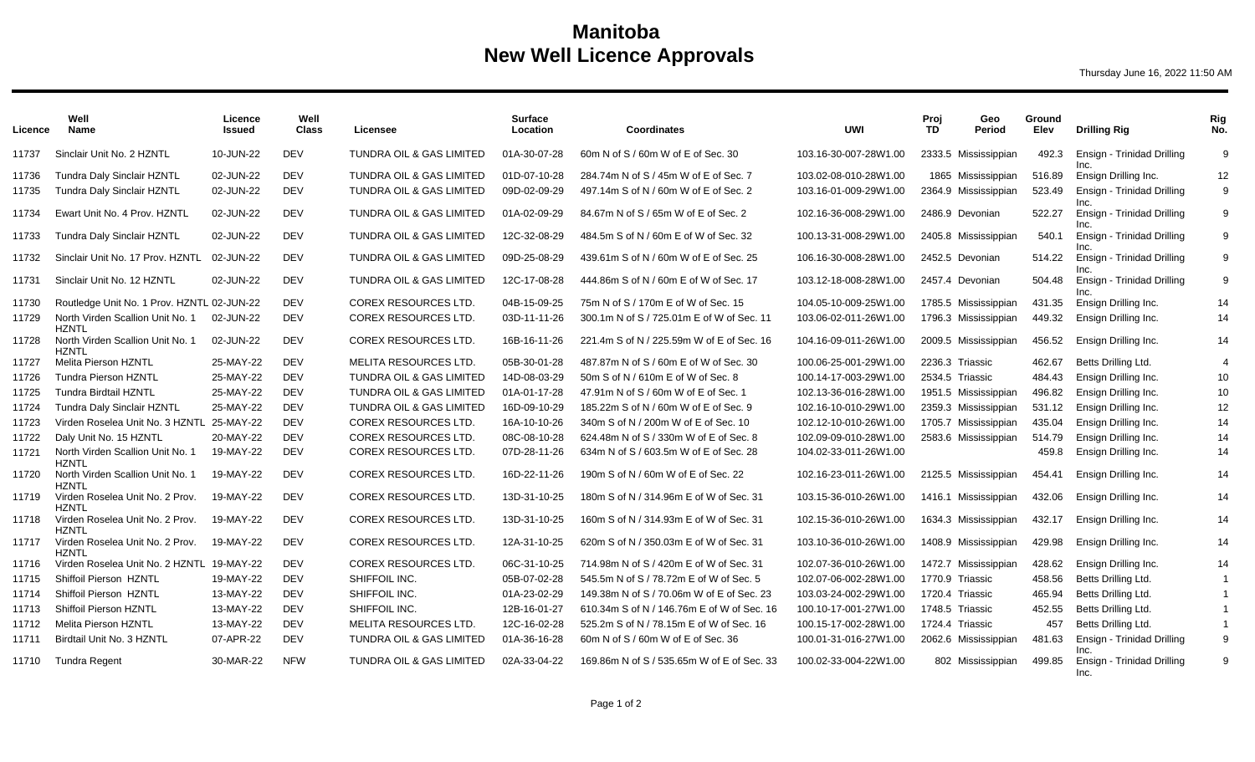## **Manitoba New Well Licence Approvals**

Thursday June 16, 2022 11:50 AM

| Licence        | Well<br><b>Name</b>                                      | Licence<br><b>Issued</b> | Well<br><b>Class</b>     | Licensee                                                        | <b>Surface</b><br>Location   | <b>Coordinates</b>                                                             | <b>UWI</b>                                     | Proi<br>TD.     | Geo<br>Period                              | Ground<br>Elev   | <b>Drilling Rig</b>                                | Rig<br>No.     |
|----------------|----------------------------------------------------------|--------------------------|--------------------------|-----------------------------------------------------------------|------------------------------|--------------------------------------------------------------------------------|------------------------------------------------|-----------------|--------------------------------------------|------------------|----------------------------------------------------|----------------|
| 11737          | Sinclair Unit No. 2 HZNTL                                | 10-JUN-22                | <b>DEV</b>               | <b>TUNDRA OIL &amp; GAS LIMITED</b>                             | 01A-30-07-28                 | 60m N of S / 60m W of E of Sec. 30                                             | 103.16-30-007-28W1.00                          |                 | 2333.5 Mississippian                       | 492.3            | Ensign - Trinidad Drilling<br>Inc.                 | 9              |
| 11736<br>11735 | Tundra Daly Sinclair HZNTL<br>Tundra Daly Sinclair HZNTL | 02-JUN-22<br>02-JUN-22   | <b>DEV</b><br><b>DEV</b> | <b>TUNDRA OIL &amp; GAS LIMITED</b><br>TUNDRA OIL & GAS LIMITED | 01D-07-10-28<br>09D-02-09-29 | 284.74m N of S / 45m W of E of Sec. 7<br>497.14m S of N / 60m W of E of Sec. 2 | 103.02-08-010-28W1.00<br>103.16-01-009-29W1.00 |                 | 1865 Mississippian<br>2364.9 Mississippian | 516.89<br>523.49 | Ensign Drilling Inc.<br>Ensign - Trinidad Drilling | 12<br>9        |
| 11734          | Ewart Unit No. 4 Prov. HZNTL                             | 02-JUN-22                | <b>DEV</b>               | TUNDRA OIL & GAS LIMITED                                        | 01A-02-09-29                 | 84.67m N of S / 65m W of E of Sec. 2                                           | 102.16-36-008-29W1.00                          |                 | 2486.9 Devonian                            | 522.27           | Inc.<br>Ensign - Trinidad Drilling                 | 9              |
| 11733          | Tundra Daly Sinclair HZNTL                               | 02-JUN-22                | <b>DEV</b>               | TUNDRA OIL & GAS LIMITED                                        | 12C-32-08-29                 | 484.5m S of N / 60m E of W of Sec. 32                                          | 100.13-31-008-29W1.00                          |                 | 2405.8 Mississippian                       | 540.1            | Inc.<br>Ensign - Trinidad Drilling<br>Inc.         | 9              |
| 11732          | Sinclair Unit No. 17 Prov. HZNTL                         | 02-JUN-22                | <b>DEV</b>               | <b>TUNDRA OIL &amp; GAS LIMITED</b>                             | 09D-25-08-29                 | 439.61m S of N / 60m W of E of Sec. 25                                         | 106.16-30-008-28W1.00                          |                 | 2452.5 Devonian                            | 514.22           | Ensign - Trinidad Drilling                         | 9              |
| 11731          | Sinclair Unit No. 12 HZNTL                               | 02-JUN-22                | <b>DEV</b>               | TUNDRA OIL & GAS LIMITED                                        | 12C-17-08-28                 | 444.86m S of N / 60m E of W of Sec. 17                                         | 103.12-18-008-28W1.00                          |                 | 2457.4 Devonian                            | 504.48           | Ensign - Trinidad Drilling<br>Inc.                 | 9              |
| 11730          | Routledge Unit No. 1 Prov. HZNTL 02-JUN-22               |                          | <b>DEV</b>               | COREX RESOURCES LTD.                                            | 04B-15-09-25                 | 75m N of S / 170m E of W of Sec. 15                                            | 104.05-10-009-25W1.00                          |                 | 1785.5 Mississippian                       | 431.35           | Ensign Drilling Inc.                               | 14             |
| 11729          | North Virden Scallion Unit No. 1<br><b>HZNTL</b>         | 02-JUN-22                | <b>DEV</b>               | COREX RESOURCES LTD.                                            | 03D-11-11-26                 | 300.1m N of S / 725.01m E of W of Sec. 11                                      | 103.06-02-011-26W1.00                          |                 | 1796.3 Mississippian                       | 449.32           | Ensign Drilling Inc.                               | 14             |
| 11728          | North Virden Scallion Unit No. 1<br><b>HZNTL</b>         | 02-JUN-22                | <b>DEV</b>               | <b>COREX RESOURCES LTD.</b>                                     | 16B-16-11-26                 | 221.4m S of N / 225.59m W of E of Sec. 16                                      | 104.16-09-011-26W1.00                          |                 | 2009.5 Mississippian                       | 456.52           | Ensign Drilling Inc.                               | 14             |
| 11727          | Melita Pierson HZNTL                                     | 25-MAY-22                | <b>DEV</b>               | MELITA RESOURCES LTD.                                           | 05B-30-01-28                 | 487.87m N of S / 60m E of W of Sec. 30                                         | 100.06-25-001-29W1.00                          | 2236.3 Triassic |                                            | 462.67           | Betts Drilling Ltd.                                | $\overline{4}$ |
| 11726          | <b>Tundra Pierson HZNTL</b>                              | 25-MAY-22                | <b>DEV</b>               | TUNDRA OIL & GAS LIMITED                                        | 14D-08-03-29                 | 50m S of N / 610m E of W of Sec. 8                                             | 100.14-17-003-29W1.00                          | 2534.5 Triassic |                                            | 484.43           | Ensign Drilling Inc.                               | 10             |
| 11725          | <b>Tundra Birdtail HZNTL</b>                             | 25-MAY-22                | <b>DEV</b>               | <b>TUNDRA OIL &amp; GAS LIMITED</b>                             | 01A-01-17-28                 | 47.91m N of S / 60m W of E of Sec. 1                                           | 102.13-36-016-28W1.00                          |                 | 1951.5 Mississippian                       | 496.82           | Ensign Drilling Inc.                               | 10             |
| 11724          | <b>Tundra Daly Sinclair HZNTL</b>                        | 25-MAY-22                | DEV                      | <b>TUNDRA OIL &amp; GAS LIMITED</b>                             | 16D-09-10-29                 | 185.22m S of N / 60m W of E of Sec. 9                                          | 102.16-10-010-29W1.00                          |                 | 2359.3 Mississippian                       | 531.12           | Ensign Drilling Inc.                               | 12             |
| 11723          | Virden Roselea Unit No. 3 HZNTL 25-MAY-22                |                          | <b>DEV</b>               | COREX RESOURCES LTD.                                            | 16A-10-10-26                 | 340m S of N / 200m W of E of Sec. 10                                           | 102.12-10-010-26W1.00                          |                 | 1705.7 Mississippian                       | 435.04           | Ensign Drilling Inc.                               | 14             |
| 11722          | Daly Unit No. 15 HZNTL                                   | 20-MAY-22                | <b>DEV</b>               | <b>COREX RESOURCES LTD.</b>                                     | 08C-08-10-28                 | 624.48m N of S / 330m W of E of Sec. 8                                         | 102.09-09-010-28W1.00                          |                 | 2583.6 Mississippian                       | 514.79           | Ensign Drilling Inc.                               | 14             |
| 11721          | North Virden Scallion Unit No. 1<br>HZNTL                | 19-MAY-22                | <b>DEV</b>               | COREX RESOURCES LTD.                                            | 07D-28-11-26                 | 634m N of S / 603.5m W of E of Sec. 28                                         | 104.02-33-011-26W1.00                          |                 |                                            | 459.8            | Ensign Drilling Inc.                               | 14             |
| 11720          | North Virden Scallion Unit No. 1<br><b>HZNTL</b>         | 19-MAY-22                | <b>DEV</b>               | COREX RESOURCES LTD.                                            | 16D-22-11-26                 | 190m S of N / 60m W of E of Sec. 22                                            | 102.16-23-011-26W1.00                          |                 | 2125.5 Mississippian                       | 454.41           | Ensign Drilling Inc.                               | 14             |
| 11719          | Virden Roselea Unit No. 2 Prov.<br><b>HZNTL</b>          | 19-MAY-22                | <b>DEV</b>               | COREX RESOURCES LTD.                                            | 13D-31-10-25                 | 180m S of N / 314.96m E of W of Sec. 31                                        | 103.15-36-010-26W1.00                          |                 | 1416.1 Mississippian                       | 432.06           | Ensign Drilling Inc.                               | 14             |
| 11718          | Virden Roselea Unit No. 2 Prov.<br><b>HZNTL</b>          | 19-MAY-22                | <b>DEV</b>               | COREX RESOURCES LTD.                                            | 13D-31-10-25                 | 160m S of N / 314.93m E of W of Sec. 31                                        | 102.15-36-010-26W1.00                          |                 | 1634.3 Mississippian                       | 432.17           | Ensign Drilling Inc.                               | 14             |
| 11717          | Virden Roselea Unit No. 2 Prov.<br><b>HZNTL</b>          | 19-MAY-22                | <b>DEV</b>               | <b>COREX RESOURCES LTD.</b>                                     | 12A-31-10-25                 | 620m S of N / 350.03m E of W of Sec. 31                                        | 103.10-36-010-26W1.00                          |                 | 1408.9 Mississippian                       | 429.98           | Ensign Drilling Inc.                               | 14             |
| 11716          | Virden Roselea Unit No. 2 HZNTL 19-MAY-22                |                          | <b>DEV</b>               | COREX RESOURCES LTD.                                            | 06C-31-10-25                 | 714.98m N of S / 420m E of W of Sec. 31                                        | 102.07-36-010-26W1.00                          |                 | 1472.7 Mississippian                       | 428.62           | Ensign Drilling Inc.                               | 14             |
| 11715          | Shiffoil Pierson HZNTL                                   | 19-MAY-22                | <b>DEV</b>               | SHIFFOIL INC.                                                   | 05B-07-02-28                 | 545.5m N of S / 78.72m E of W of Sec. 5                                        | 102.07-06-002-28W1.00                          | 1770.9 Triassic |                                            | 458.56           | Betts Drilling Ltd.                                | $\overline{1}$ |
| 11714          | Shiffoil Pierson HZNTL                                   | 13-MAY-22                | <b>DEV</b>               | SHIFFOIL INC.                                                   | 01A-23-02-29                 | 149.38m N of S / 70.06m W of E of Sec. 23                                      | 103.03-24-002-29W1.00                          | 1720.4 Triassic |                                            | 465.94           | Betts Drilling Ltd.                                | $\overline{1}$ |
| 11713          | Shiffoil Pierson HZNTL                                   | 13-MAY-22                | <b>DEV</b>               | SHIFFOIL INC.                                                   | 12B-16-01-27                 | 610.34m S of N / 146.76m E of W of Sec. 16                                     | 100.10-17-001-27W1.00                          | 1748.5 Triassic |                                            | 452.55           | Betts Drilling Ltd.                                | $\overline{1}$ |
| 11712          | <b>Melita Pierson HZNTL</b>                              | 13-MAY-22                | <b>DEV</b>               | MELITA RESOURCES LTD.                                           | 12C-16-02-28                 | 525.2m S of N / 78.15m E of W of Sec. 16                                       | 100.15-17-002-28W1.00                          | 1724.4 Triassic |                                            | 457              | Betts Drilling Ltd.                                | $\overline{1}$ |
| 11711          | Birdtail Unit No. 3 HZNTL                                | 07-APR-22                | <b>DEV</b>               | TUNDRA OIL & GAS LIMITED                                        | 01A-36-16-28                 | 60m N of S / 60m W of E of Sec. 36                                             | 100.01-31-016-27W1.00                          |                 | 2062.6 Mississippian                       | 481.63           | Ensign - Trinidad Drilling<br>Inc.                 | 9              |
|                | 11710 Tundra Regent                                      | 30-MAR-22                | <b>NFW</b>               | TUNDRA OIL & GAS LIMITED                                        | 02A-33-04-22                 | 169.86m N of S / 535.65m W of E of Sec. 33                                     | 100.02-33-004-22W1.00                          |                 | 802 Mississippian                          | 499.85           | Ensign - Trinidad Drilling<br>Inc.                 | 9              |